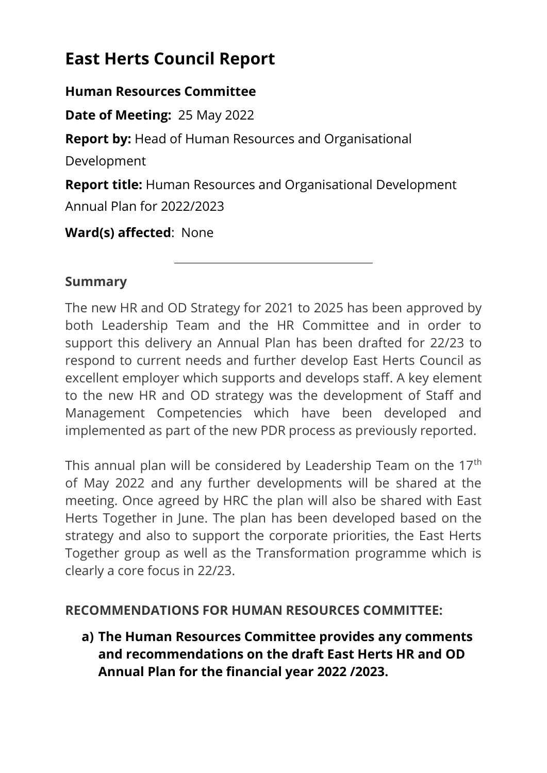# **East Herts Council Report**

#### **Human Resources Committee**

**Date of Meeting:** 25 May 2022

**Report by:** Head of Human Resources and Organisational

Development

**Report title:** Human Resources and Organisational Development Annual Plan for 2022/2023

**Ward(s) affected**: None

#### **Summary**

The new HR and OD Strategy for 2021 to 2025 has been approved by both Leadership Team and the HR Committee and in order to support this delivery an Annual Plan has been drafted for 22/23 to respond to current needs and further develop East Herts Council as excellent employer which supports and develops staff. A key element to the new HR and OD strategy was the development of Staff and Management Competencies which have been developed and implemented as part of the new PDR process as previously reported.

This annual plan will be considered by Leadership Team on the 17<sup>th</sup> of May 2022 and any further developments will be shared at the meeting. Once agreed by HRC the plan will also be shared with East Herts Together in June. The plan has been developed based on the strategy and also to support the corporate priorities, the East Herts Together group as well as the Transformation programme which is clearly a core focus in 22/23.

#### **RECOMMENDATIONS FOR HUMAN RESOURCES COMMITTEE:**

**a) The Human Resources Committee provides any comments and recommendations on the draft East Herts HR and OD Annual Plan for the financial year 2022 /2023.**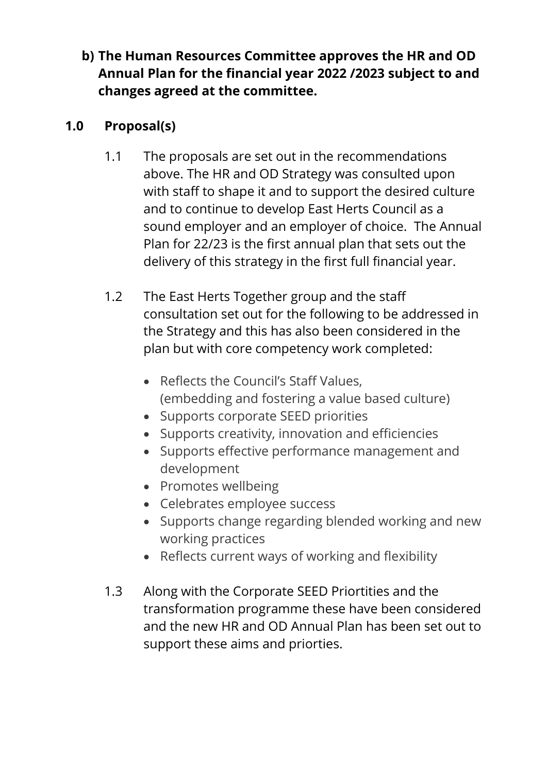# **b) The Human Resources Committee approves the HR and OD Annual Plan for the financial year 2022 /2023 subject to and changes agreed at the committee.**

# **1.0 Proposal(s)**

- 1.1 The proposals are set out in the recommendations above. The HR and OD Strategy was consulted upon with staff to shape it and to support the desired culture and to continue to develop East Herts Council as a sound employer and an employer of choice. The Annual Plan for 22/23 is the first annual plan that sets out the delivery of this strategy in the first full financial year.
- 1.2 The East Herts Together group and the staff consultation set out for the following to be addressed in the Strategy and this has also been considered in the plan but with core competency work completed:
	- Reflects the Council's Staff Values, (embedding and fostering a value based culture)
	- Supports corporate SEED priorities
	- Supports creativity, innovation and efficiencies
	- Supports effective performance management and development
	- Promotes wellbeing
	- Celebrates employee success
	- Supports change regarding blended working and new working practices
	- Reflects current ways of working and flexibility
- 1.3 Along with the Corporate SEED Priortities and the transformation programme these have been considered and the new HR and OD Annual Plan has been set out to support these aims and priorties.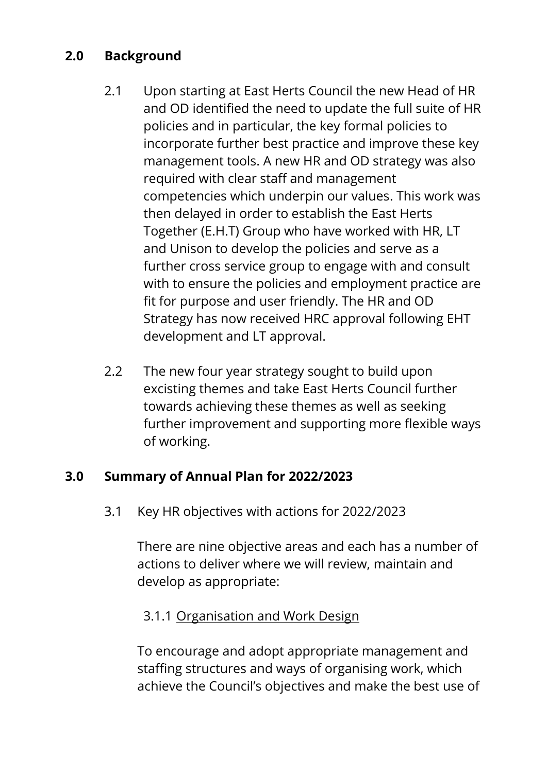# **2.0 Background**

- 2.1 Upon starting at East Herts Council the new Head of HR and OD identified the need to update the full suite of HR policies and in particular, the key formal policies to incorporate further best practice and improve these key management tools. A new HR and OD strategy was also required with clear staff and management competencies which underpin our values. This work was then delayed in order to establish the East Herts Together (E.H.T) Group who have worked with HR, LT and Unison to develop the policies and serve as a further cross service group to engage with and consult with to ensure the policies and employment practice are fit for purpose and user friendly. The HR and OD Strategy has now received HRC approval following EHT development and LT approval.
- 2.2 The new four year strategy sought to build upon excisting themes and take East Herts Council further towards achieving these themes as well as seeking further improvement and supporting more flexible ways of working.

## **3.0 Summary of Annual Plan for 2022/2023**

3.1 Key HR objectives with actions for 2022/2023

There are nine objective areas and each has a number of actions to deliver where we will review, maintain and develop as appropriate:

#### 3.1.1 Organisation and Work Design

To encourage and adopt appropriate management and staffing structures and ways of organising work, which achieve the Council's objectives and make the best use of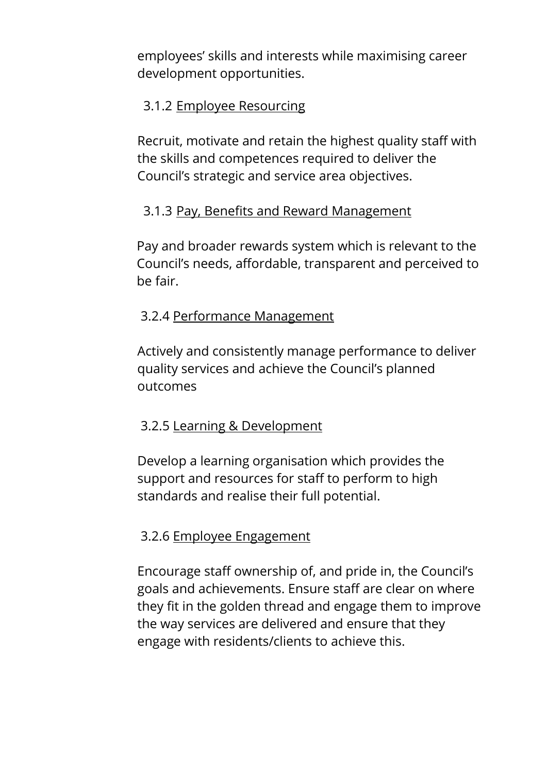employees' skills and interests while maximising career development opportunities.

#### 3.1.2 Employee Resourcing

Recruit, motivate and retain the highest quality staff with the skills and competences required to deliver the Council's strategic and service area objectives.

## 3.1.3 Pay, Benefits and Reward Management

Pay and broader rewards system which is relevant to the Council's needs, affordable, transparent and perceived to be fair.

## 3.2.4 Performance Management

Actively and consistently manage performance to deliver quality services and achieve the Council's planned outcomes

## 3.2.5 Learning & Development

Develop a learning organisation which provides the support and resources for staff to perform to high standards and realise their full potential.

## 3.2.6 Employee Engagement

Encourage staff ownership of, and pride in, the Council's goals and achievements. Ensure staff are clear on where they fit in the golden thread and engage them to improve the way services are delivered and ensure that they engage with residents/clients to achieve this.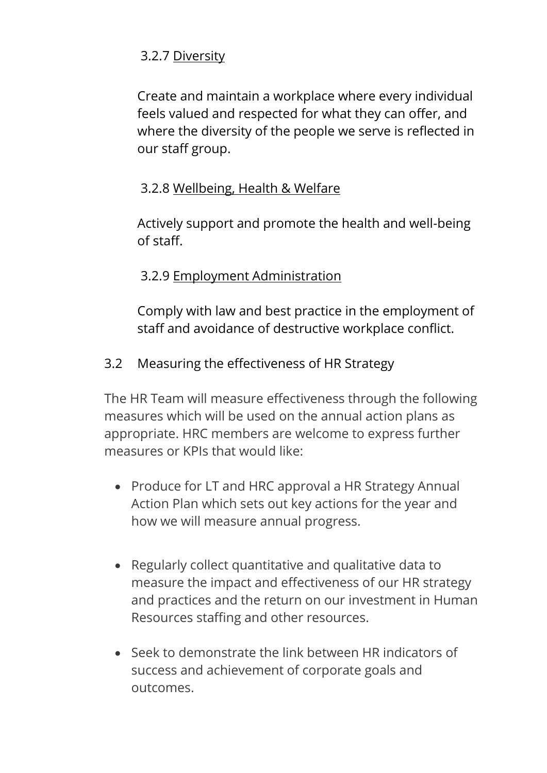# 3.2.7 Diversity

Create and maintain a workplace where every individual feels valued and respected for what they can offer, and where the diversity of the people we serve is reflected in our staff group.

# 3.2.8 Wellbeing, Health & Welfare

Actively support and promote the health and well-being of staff.

# 3.2.9 Employment Administration

Comply with law and best practice in the employment of staff and avoidance of destructive workplace conflict.

# 3.2 Measuring the effectiveness of HR Strategy

The HR Team will measure effectiveness through the following measures which will be used on the annual action plans as appropriate. HRC members are welcome to express further measures or KPIs that would like:

- Produce for LT and HRC approval a HR Strategy Annual Action Plan which sets out key actions for the year and how we will measure annual progress.
- Regularly collect quantitative and qualitative data to measure the impact and effectiveness of our HR strategy and practices and the return on our investment in Human Resources staffing and other resources.
- Seek to demonstrate the link between HR indicators of success and achievement of corporate goals and outcomes.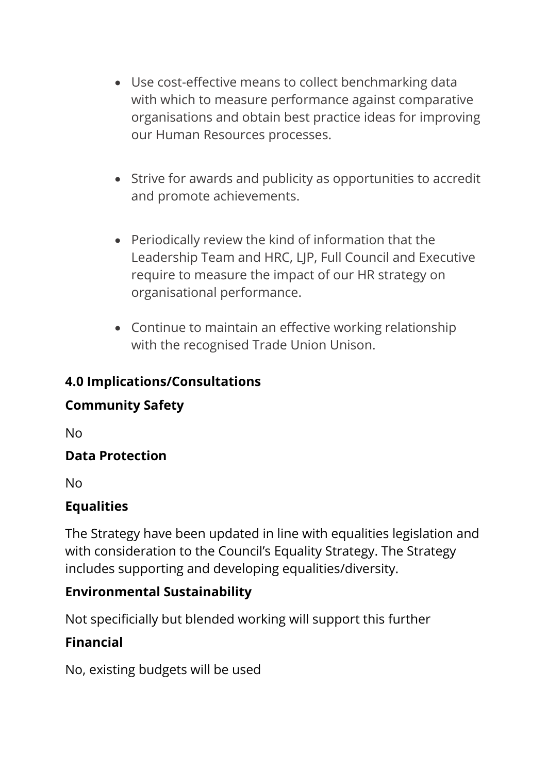- Use cost-effective means to collect benchmarking data with which to measure performance against comparative organisations and obtain best practice ideas for improving our Human Resources processes.
- Strive for awards and publicity as opportunities to accredit and promote achievements.
- Periodically review the kind of information that the Leadership Team and HRC, LJP, Full Council and Executive require to measure the impact of our HR strategy on organisational performance.
- Continue to maintain an effective working relationship with the recognised Trade Union Unison.

# **4.0 Implications/Consultations**

# **Community Safety**

No

# **Data Protection**

No

# **Equalities**

The Strategy have been updated in line with equalities legislation and with consideration to the Council's Equality Strategy. The Strategy includes supporting and developing equalities/diversity.

# **Environmental Sustainability**

Not specificially but blended working will support this further

# **Financial**

No, existing budgets will be used